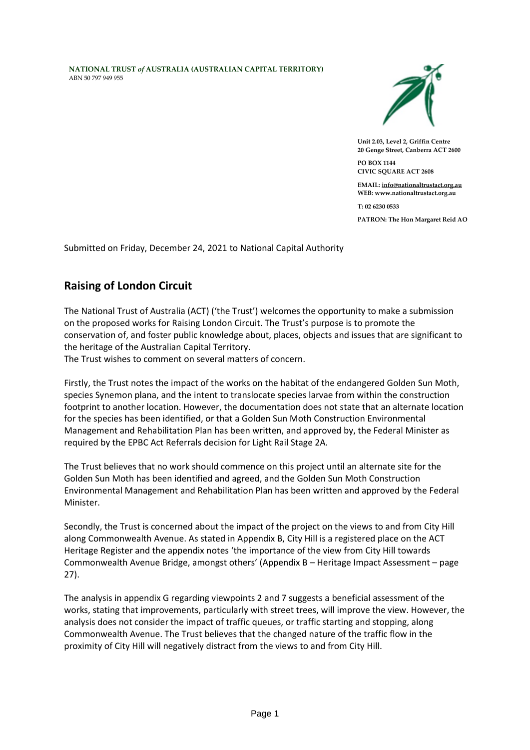**NATIONAL TRUST** *of* **AUSTRALIA (AUSTRALIAN CAPITAL TERRITORY)** ABN 50 797 949 955



**Unit 2.03, Level 2, Griffin Centre 20 Genge Street, Canberra ACT 2600**

**PO BOX 1144 CIVIC SQUARE ACT 2608**

**EMAIL[: info@nationaltrustact.org.au](mailto:info@nationaltrustact.org.au) WEB: www.nationaltrustact.org.au T: 02 6230 0533 PATRON: The Hon Margaret Reid AO**

Submitted on Friday, December 24, 2021 to National Capital Authority

## **Raising of London Circuit**

The National Trust of Australia (ACT) ('the Trust') welcomes the opportunity to make a submission on the proposed works for Raising London Circuit. The Trust's purpose is to promote the conservation of, and foster public knowledge about, places, objects and issues that are significant to the heritage of the Australian Capital Territory.

The Trust wishes to comment on several matters of concern.

Firstly, the Trust notes the impact of the works on the habitat of the endangered Golden Sun Moth, species Synemon plana, and the intent to translocate species larvae from within the construction footprint to another location. However, the documentation does not state that an alternate location for the species has been identified, or that a Golden Sun Moth Construction Environmental Management and Rehabilitation Plan has been written, and approved by, the Federal Minister as required by the EPBC Act Referrals decision for Light Rail Stage 2A.

The Trust believes that no work should commence on this project until an alternate site for the Golden Sun Moth has been identified and agreed, and the Golden Sun Moth Construction Environmental Management and Rehabilitation Plan has been written and approved by the Federal Minister.

Secondly, the Trust is concerned about the impact of the project on the views to and from City Hill along Commonwealth Avenue. As stated in Appendix B, City Hill is a registered place on the ACT Heritage Register and the appendix notes 'the importance of the view from City Hill towards Commonwealth Avenue Bridge, amongst others' (Appendix B – Heritage Impact Assessment – page 27).

The analysis in appendix G regarding viewpoints 2 and 7 suggests a beneficial assessment of the works, stating that improvements, particularly with street trees, will improve the view. However, the analysis does not consider the impact of traffic queues, or traffic starting and stopping, along Commonwealth Avenue. The Trust believes that the changed nature of the traffic flow in the proximity of City Hill will negatively distract from the views to and from City Hill.